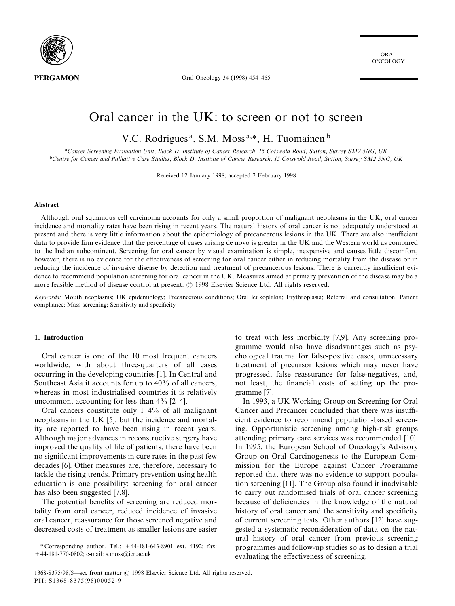

ORAL ONCOLOGY

Oral Oncology 34 (1998) 454-465

# Oral cancer in the UK: to screen or not to screen

V.C. Rodrigues<sup>a</sup>, S.M. Moss<sup>a,\*</sup>, H. Tuomainen<sup>b</sup>

aCancer Screening Evaluation Unit, Block D, Institute of Cancer Research, 15 Cotswold Road, Sutton, Surrey SM2 5NG, UK <sup>b</sup>Centre for Cancer and Palliative Care Studies, Block D, Institute of Cancer Research, 15 Cotswold Road, Sutton, Surrey SM2 5NG, UK

Received 12 January 1998; accepted 2 February 1998

#### Abstract

Although oral squamous cell carcinoma accounts for only a small proportion of malignant neoplasms in the UK, oral cancer incidence and mortality rates have been rising in recent years. The natural history of oral cancer is not adequately understood at present and there is very little information about the epidemiology of precancerous lesions in the UK. There are also insufficient data to provide firm evidence that the percentage of cases arising de novo is greater in the UK and the Western world as compared to the Indian subcontinent. Screening for oral cancer by visual examination is simple, inexpensive and causes little discomfort; however, there is no evidence for the effectiveness of screening for oral cancer either in reducing mortality from the disease or in reducing the incidence of invasive disease by detection and treatment of precancerous lesions. There is currently insufficient evidence to recommend population screening for oral cancer in the UK. Measures aimed at primary prevention of the disease may be a more feasible method of disease control at present.  $\odot$  1998 Elsevier Science Ltd. All rights reserved.

Keywords: Mouth neoplasms; UK epidemiology; Precancerous conditions; Oral leukoplakia; Erythroplasia; Referral and consultation; Patient compliance; Mass screening; Sensitivity and specificity

## 1. Introduction

Oral cancer is one of the 10 most frequent cancers worldwide, with about three-quarters of all cases occurring in the developing countries [1]. In Central and Southeast Asia it accounts for up to 40% of all cancers, whereas in most industrialised countries it is relatively uncommon, accounting for less than  $4\%$  [2–4].

Oral cancers constitute only  $1-4%$  of all malignant neoplasms in the UK [5], but the incidence and mortality are reported to have been rising in recent years. Although major advances in reconstructive surgery have improved the quality of life of patients, there have been no significant improvements in cure rates in the past few decades [6]. Other measures are, therefore, necessary to tackle the rising trends. Primary prevention using health education is one possibility; screening for oral cancer has also been suggested [7,8].

The potential benefits of screening are reduced mortality from oral cancer, reduced incidence of invasive oral cancer, reassurance for those screened negative and decreased costs of treatment as smaller lesions are easier to treat with less morbidity [7,9]. Any screening programme would also have disadvantages such as psychological trauma for false-positive cases, unnecessary treatment of precursor lesions which may never have progressed, false reassurance for false-negatives, and, not least, the financial costs of setting up the programme [7].

In 1993, a UK Working Group on Screening for Oral Cancer and Precancer concluded that there was insufficient evidence to recommend population-based screening. Opportunistic screening among high-risk groups attending primary care services was recommended [10]. In 1995, the European School of Oncology's Advisory Group on Oral Carcinogenesis to the European Commission for the Europe against Cancer Programme reported that there was no evidence to support population screening [11]. The Group also found it inadvisable to carry out randomised trials of oral cancer screening because of deficiencies in the knowledge of the natural history of oral cancer and the sensitivity and specificity of current screening tests. Other authors [12] have suggested a systematic reconsideration of data on the natural history of oral cancer from previous screening programmes and follow-up studies so as to design a trial evaluating the effectiveness of screening.

<sup>\*</sup> Corresponding author. Tel.:  $+44-181-643-8901$  ext. 4192; fax: +44-181-770-0802; e-mail: s.moss@icr.ac.uk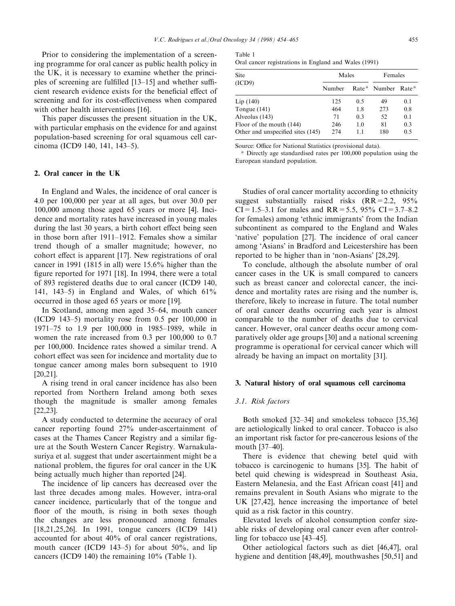Prior to considering the implementation of a screening programme for oral cancer as public health policy in the UK, it is necessary to examine whether the principles of screening are fulfilled  $[13–15]$  and whether sufficient research evidence exists for the beneficial effect of screening and for its cost-effectiveness when compared with other health interventions [16].

This paper discusses the present situation in the UK, with particular emphasis on the evidence for and against population-based screening for oral squamous cell carcinoma (ICD9 140, 141, 143-5).

#### 2. Oral cancer in the UK

In England and Wales, the incidence of oral cancer is 4.0 per 100,000 per year at all ages, but over 30.0 per 100,000 among those aged 65 years or more [4]. Incidence and mortality rates have increased in young males during the last 30 years, a birth cohort effect being seen in those born after  $1911-1912$ . Females show a similar trend though of a smaller magnitude; however, no cohort effect is apparent  $[17]$ . New registrations of oral cancer in 1991 (1815 in all) were 15.6% higher than the figure reported for 1971 [18]. In 1994, there were a total of 893 registered deaths due to oral cancer (ICD9 140, 141, 143-5) in England and Wales, of which  $61\%$ occurred in those aged 65 years or more [19].

In Scotland, among men aged 35–64, mouth cancer (ICD9 143 $-5$ ) mortality rose from 0.5 per 100,000 in 1971–75 to 1.9 per 100,000 in 1985–1989, while in women the rate increased from 0.3 per 100,000 to 0.7 per 100,000. Incidence rates showed a similar trend. A cohort effect was seen for incidence and mortality due to tongue cancer among males born subsequent to 1910 [20,21].

A rising trend in oral cancer incidence has also been reported from Northern Ireland among both sexes though the magnitude is smaller among females [22,23].

A study conducted to determine the accuracy of oral cancer reporting found 27% under-ascertainment of cases at the Thames Cancer Registry and a similar figure at the South Western Cancer Registry. Warnakulasuriya et al. suggest that under ascertainment might be a national problem, the figures for oral cancer in the UK being actually much higher than reported [24].

The incidence of lip cancers has decreased over the last three decades among males. However, intra-oral cancer incidence, particularly that of the tongue and floor of the mouth, is rising in both sexes though the changes are less pronounced among females [18,21,25,26]. In 1991, tongue cancers (ICD9 141) accounted for about 40% of oral cancer registrations, mouth cancer (ICD9 143–5) for about  $50\%$ , and lip cancers (ICD9 140) the remaining 10% (Table 1).

| Table 1 |                                                       |  |
|---------|-------------------------------------------------------|--|
|         | Oral cancer registrations in England and Wales (1991) |  |

|        |     | Females |                                            |  |
|--------|-----|---------|--------------------------------------------|--|
| Number |     |         |                                            |  |
| 125    | 0.5 | 49      | 0.1                                        |  |
| 464    | 1.8 | 273     | 0.8                                        |  |
| 71     | 0.3 | 52      | 0.1                                        |  |
| 246    | 1.0 | 81      | 0.3                                        |  |
| 274    | 1.1 | 180     | 0.5                                        |  |
|        |     | Males   | Rate <sup>a</sup> Number Rate <sup>a</sup> |  |

Source: Office for National Statistics (provisional data).

<sup>a</sup> Directly age standardised rates per 100,000 population using the European standard population.

Studies of oral cancer mortality according to ethnicity suggest substantially raised risks  $(RR=2.2, 95\%$  $CI = 1.5-3.1$  for males and  $RR = 5.5$ , 95%  $CI = 3.7-8.2$ for females) among 'ethnic immigrants' from the Indian subcontinent as compared to the England and Wales `native' population [27]. The incidence of oral cancer among `Asians' in Bradford and Leicestershire has been reported to be higher than in 'non-Asians' [28,29].

To conclude, although the absolute number of oral cancer cases in the UK is small compared to cancers such as breast cancer and colorectal cancer, the incidence and mortality rates are rising and the number is, therefore, likely to increase in future. The total number of oral cancer deaths occurring each year is almost comparable to the number of deaths due to cervical cancer. However, oral cancer deaths occur among comparatively older age groups [30] and a national screening programme is operational for cervical cancer which will already be having an impact on mortality [31].

## 3. Natural history of oral squamous cell carcinoma

#### 3.1. Risk factors

Both smoked [32–34] and smokeless tobacco [35,36] are aetiologically linked to oral cancer. Tobacco is also an important risk factor for pre-cancerous lesions of the mouth [37-40].

There is evidence that chewing betel quid with tobacco is carcinogenic to humans [35]. The habit of betel quid chewing is widespread in Southeast Asia, Eastern Melanesia, and the East African coast [41] and remains prevalent in South Asians who migrate to the UK [27,42], hence increasing the importance of betel quid as a risk factor in this country.

Elevated levels of alcohol consumption confer sizeable risks of developing oral cancer even after controlling for tobacco use  $[43-45]$ .

Other aetiological factors such as diet [46,47], oral hygiene and dentition [48,49], mouthwashes [50,51] and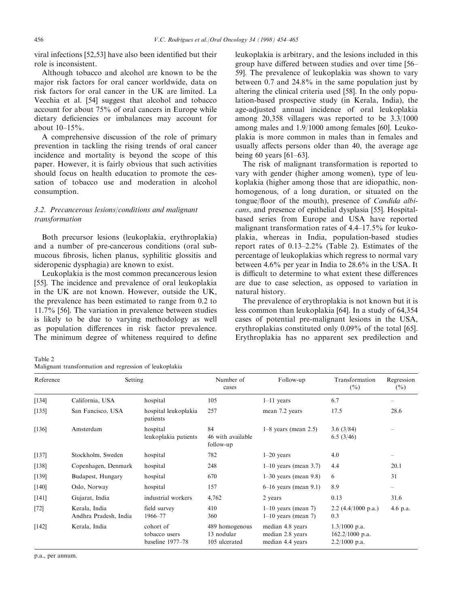viral infections  $[52,53]$  have also been identified but their role is inconsistent.

Although tobacco and alcohol are known to be the major risk factors for oral cancer worldwide, data on risk factors for oral cancer in the UK are limited. La Vecchia et al. [54] suggest that alcohol and tobacco account for about 75% of oral cancers in Europe while dietary deficiencies or imbalances may account for about  $10-15%$ .

A comprehensive discussion of the role of primary prevention in tackling the rising trends of oral cancer incidence and mortality is beyond the scope of this paper. However, it is fairly obvious that such activities should focus on health education to promote the cessation of tobacco use and moderation in alcohol consumption.

# 3.2. Precancerous lesions/conditions and malignant transformation

Both precursor lesions (leukoplakia, erythroplakia) and a number of pre-cancerous conditions (oral submucous fibrosis, lichen planus, syphilitic glossitis and sideropenic dysphagia) are known to exist.

Leukoplakia is the most common precancerous lesion [55]. The incidence and prevalence of oral leukoplakia in the UK are not known. However, outside the UK, the prevalence has been estimated to range from 0.2 to 11.7% [56]. The variation in prevalence between studies is likely to be due to varying methodology as well as population differences in risk factor prevalence. The minimum degree of whiteness required to define leukoplakia is arbitrary, and the lesions included in this group have differed between studies and over time [56-59]. The prevalence of leukoplakia was shown to vary between 0.7 and 24.8% in the same population just by altering the clinical criteria used [58]. In the only population-based prospective study (in Kerala, India), the age-adjusted annual incidence of oral leukoplakia among 20,358 villagers was reported to be 3.3/1000 among males and 1.9/1000 among females [60]. Leukoplakia is more common in males than in females and usually affects persons older than 40, the average age being 60 years  $[61-63]$ .

The risk of malignant transformation is reported to vary with gender (higher among women), type of leukoplakia (higher among those that are idiopathic, nonhomogenous, of a long duration, or situated on the tongue/floor of the mouth), presence of Candida albicans, and presence of epithelial dysplasia [55]. Hospitalbased series from Europe and USA have reported malignant transformation rates of  $4.4-17.5\%$  for leukoplakia, whereas in India, population-based studies report rates of  $0.13-2.2\%$  (Table 2). Estimates of the percentage of leukoplakias which regress to normal vary between 4.6% per year in India to 28.6% in the USA. It is difficult to determine to what extent these differences are due to case selection, as opposed to variation in natural history.

The prevalence of erythroplakia is not known but it is less common than leukoplakia [64]. In a study of 64,354 cases of potential pre-malignant lesions in the USA, erythroplakias constituted only 0.09% of the total [65]. Erythroplakia has no apparent sex predilection and

Table 2 Malignant transformation and regression of leukoplakia

| Reference | Setting                                |                                                | Number of<br>cases                            | Follow-up                                                | Transformation<br>$(\frac{0}{0})$                       | Regression<br>(%) |
|-----------|----------------------------------------|------------------------------------------------|-----------------------------------------------|----------------------------------------------------------|---------------------------------------------------------|-------------------|
| [134]     | California, USA                        | hospital                                       | 105                                           | $1-11$ years                                             | 6.7                                                     |                   |
| [135]     | San Fancisco, USA                      | hospital leukoplakia<br>patients               | 257                                           | mean 7.2 years                                           | 17.5                                                    | 28.6              |
| [136]     | Amsterdam                              | hospital<br>leukoplakia patients               | 84<br>46 with available<br>follow-up          | $1-8$ years (mean 2.5)                                   | 3.6(3/84)<br>6.5(3/46)                                  |                   |
| [137]     | Stockholm, Sweden                      | hospital                                       | 782                                           | $1-20$ years                                             | 4.0                                                     |                   |
| [138]     | Copenhagen, Denmark                    | hospital                                       | 248                                           | $1-10$ years (mean 3.7)                                  | 4.4                                                     | 20.1              |
| [139]     | Budapest, Hungary                      | hospital                                       | 670                                           | $1-30$ years (mean 9.8)                                  | 6                                                       | 31                |
| [140]     | Oslo, Norway                           | hospital                                       | 157                                           | $6-16$ years (mean 9.1)                                  | 8.9                                                     |                   |
| $[141]$   | Gujarat, India                         | industrial workers                             | 4,762                                         | 2 years                                                  | 0.13                                                    | 31.6              |
| $[72]$    | Kerala, India<br>Andhra Pradesh, India | field survey<br>1966–77                        | 410<br>360                                    | $1-10$ years (mean 7)<br>$1-10$ years (mean 7)           | 2.2 $(4.4/1000 \text{ p.a.})$<br>0.3                    | 4.6 p.a.          |
| $[142]$   | Kerala, India                          | cohort of<br>tobacco users<br>baseline 1977–78 | 489 homogenous<br>13 nodular<br>105 ulcerated | median 4.8 years<br>median 2.8 years<br>median 4.4 years | $1.3/1000$ p.a.<br>$162.2/1000$ p.a.<br>$2.2/1000$ p.a. |                   |

p.a., per annum.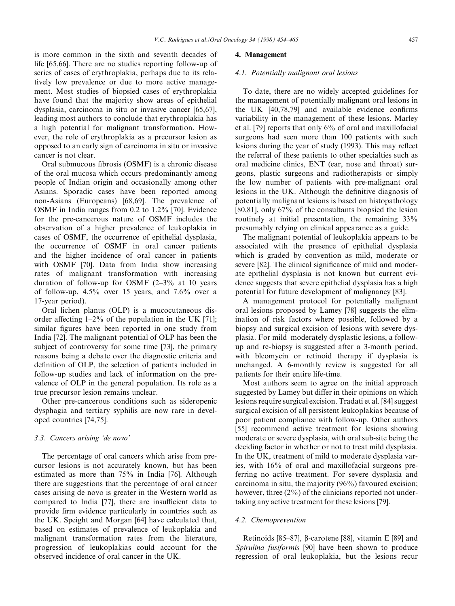is more common in the sixth and seventh decades of life [65,66]. There are no studies reporting follow-up of series of cases of erythroplakia, perhaps due to its relatively low prevalence or due to more active management. Most studies of biopsied cases of erythroplakia have found that the majority show areas of epithelial dysplasia, carcinoma in situ or invasive cancer [65,67], leading most authors to conclude that erythroplakia has a high potential for malignant transformation. However, the role of erythroplakia as a precursor lesion as opposed to an early sign of carcinoma in situ or invasive cancer is not clear.

Oral submucous fibrosis (OSMF) is a chronic disease of the oral mucosa which occurs predominantly among people of Indian origin and occasionally among other Asians. Sporadic cases have been reported among non-Asians (Europeans) [68,69]. The prevalence of OSMF in India ranges from 0.2 to 1.2% [70]. Evidence for the pre-cancerous nature of OSMF includes the observation of a higher prevalence of leukoplakia in cases of OSMF, the occurrence of epithelial dysplasia, the occurrence of OSMF in oral cancer patients and the higher incidence of oral cancer in patients with OSMF [70]. Data from India show increasing rates of malignant transformation with increasing duration of follow-up for OSMF  $(2-3)$ % at 10 years of follow-up, 4.5% over 15 years, and 7.6% over a 17-year period).

Oral lichen planus (OLP) is a mucocutaneous disorder affecting  $1-2\%$  of the population in the UK [71]; similar figures have been reported in one study from India [72]. The malignant potential of OLP has been the subject of controversy for some time [73], the primary reasons being a debate over the diagnostic criteria and definition of OLP, the selection of patients included in follow-up studies and lack of information on the prevalence of OLP in the general population. Its role as a true precursor lesion remains unclear.

Other pre-cancerous conditions such as sideropenic dysphagia and tertiary syphilis are now rare in developed countries [74,75].

## 3.3. Cancers arising `de novo'

The percentage of oral cancers which arise from precursor lesions is not accurately known, but has been estimated as more than 75% in India [76]. Although there are suggestions that the percentage of oral cancer cases arising de novo is greater in the Western world as compared to India [77], there are insufficient data to provide firm evidence particularly in countries such as the UK. Speight and Morgan [64] have calculated that, based on estimates of prevalence of leukoplakia and malignant transformation rates from the literature, progression of leukoplakias could account for the observed incidence of oral cancer in the UK.

#### 4. Management

## 4.1. Potentially malignant oral lesions

To date, there are no widely accepted guidelines for the management of potentially malignant oral lesions in the UK  $[40, 78, 79]$  and available evidence confirms variability in the management of these lesions. Marley et al. [79] reports that only 6% of oral and maxillofacial surgeons had seen more than 100 patients with such lesions during the year of study (1993). This may reflect the referral of these patients to other specialties such as oral medicine clinics, ENT (ear, nose and throat) surgeons, plastic surgeons and radiotherapists or simply the low number of patients with pre-malignant oral lesions in the UK. Although the definitive diagnosis of potentially malignant lesions is based on histopathology [80,81], only 67% of the consultants biopsied the lesion routinely at initial presentation, the remaining 33% presumably relying on clinical appearance as a guide.

The malignant potential of leukoplakia appears to be associated with the presence of epithelial dysplasia which is graded by convention as mild, moderate or severe [82]. The clinical significance of mild and moderate epithelial dysplasia is not known but current evidence suggests that severe epithelial dysplasia has a high potential for future development of malignancy [83].

A management protocol for potentially malignant oral lesions proposed by Lamey [78] suggests the elimination of risk factors where possible, followed by a biopsy and surgical excision of lesions with severe dysplasia. For mild-moderately dysplastic lesions, a followup and re-biopsy is suggested after a 3-month period, with bleomycin or retinoid therapy if dysplasia is unchanged. A 6-monthly review is suggested for all patients for their entire life-time.

Most authors seem to agree on the initial approach suggested by Lamey but differ in their opinions on which lesions require surgical excision. Tradati et al. [84] suggest surgical excision of all persistent leukoplakias because of poor patient compliance with follow-up. Other authors [55] recommend active treatment for lesions showing moderate or severe dysplasia, with oral sub-site being the deciding factor in whether or not to treat mild dysplasia. In the UK, treatment of mild to moderate dysplasia varies, with 16% of oral and maxillofacial surgeons preferring no active treatment. For severe dysplasia and carcinoma in situ, the majority (96%) favoured excision; however, three  $(2\%)$  of the clinicians reported not undertaking any active treatment for these lesions [79].

#### 4.2. Chemoprevention

Retinoids [85 $-87$ ],  $\beta$ -carotene [88], vitamin E [89] and Spirulina fusiformis [90] have been shown to produce regression of oral leukoplakia, but the lesions recur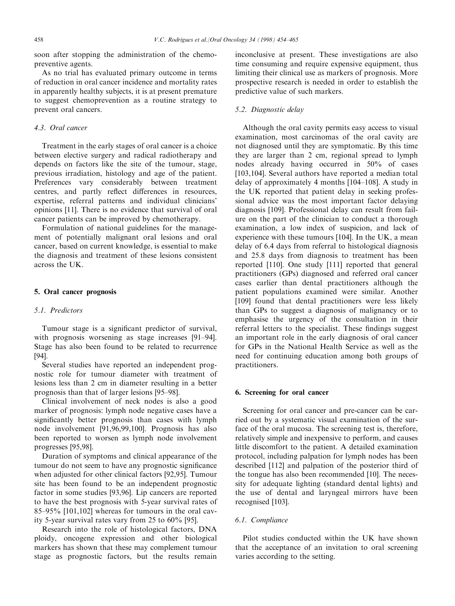soon after stopping the administration of the chemopreventive agents.

As no trial has evaluated primary outcome in terms of reduction in oral cancer incidence and mortality rates in apparently healthy subjects, it is at present premature to suggest chemoprevention as a routine strategy to prevent oral cancers.

# 4.3. Oral cancer

Treatment in the early stages of oral cancer is a choice between elective surgery and radical radiotherapy and depends on factors like the site of the tumour, stage, previous irradiation, histology and age of the patient. Preferences vary considerably between treatment centres, and partly reflect differences in resources, expertise, referral patterns and individual clinicians' opinions [11]. There is no evidence that survival of oral cancer patients can be improved by chemotherapy.

Formulation of national guidelines for the management of potentially malignant oral lesions and oral cancer, based on current knowledge, is essential to make the diagnosis and treatment of these lesions consistent across the UK.

## 5. Oral cancer prognosis

## 5.1. Predictors

Tumour stage is a significant predictor of survival, with prognosis worsening as stage increases  $[91-94]$ . Stage has also been found to be related to recurrence [94].

Several studies have reported an independent prognostic role for tumour diameter with treatment of lesions less than 2 cm in diameter resulting in a better prognosis than that of larger lesions [95–98].

Clinical involvement of neck nodes is also a good marker of prognosis: lymph node negative cases have a significantly better prognosis than cases with lymph node involvement [91,96,99,100]. Prognosis has also been reported to worsen as lymph node involvement progresses [95,98].

Duration of symptoms and clinical appearance of the tumour do not seem to have any prognostic significance when adjusted for other clinical factors [92,95]. Tumour site has been found to be an independent prognostic factor in some studies [93,96]. Lip cancers are reported to have the best prognosis with 5-year survival rates of  $85-95\%$  [101,102] whereas for tumours in the oral cavity 5-year survival rates vary from 25 to 60% [95].

Research into the role of histological factors, DNA ploidy, oncogene expression and other biological markers has shown that these may complement tumour stage as prognostic factors, but the results remain

inconclusive at present. These investigations are also time consuming and require expensive equipment, thus limiting their clinical use as markers of prognosis. More prospective research is needed in order to establish the predictive value of such markers.

#### 5.2. Diagnostic delay

Although the oral cavity permits easy access to visual examination, most carcinomas of the oral cavity are not diagnosed until they are symptomatic. By this time they are larger than 2 cm, regional spread to lymph nodes already having occurred in 50% of cases [103,104]. Several authors have reported a median total delay of approximately 4 months  $[104–108]$ . A study in the UK reported that patient delay in seeking professional advice was the most important factor delaying diagnosis [109]. Professional delay can result from failure on the part of the clinician to conduct a thorough examination, a low index of suspicion, and lack of experience with these tumours [104]. In the UK, a mean delay of 6.4 days from referral to histological diagnosis and 25.8 days from diagnosis to treatment has been reported [110]. One study [111] reported that general practitioners (GPs) diagnosed and referred oral cancer cases earlier than dental practitioners although the patient populations examined were similar. Another [109] found that dental practitioners were less likely than GPs to suggest a diagnosis of malignancy or to emphasise the urgency of the consultation in their referral letters to the specialist. These findings suggest an important role in the early diagnosis of oral cancer for GPs in the National Health Service as well as the need for continuing education among both groups of practitioners.

## 6. Screening for oral cancer

Screening for oral cancer and pre-cancer can be carried out by a systematic visual examination of the surface of the oral mucosa. The screening test is, therefore, relatively simple and inexpensive to perform, and causes little discomfort to the patient. A detailed examination protocol, including palpation for lymph nodes has been described [112] and palpation of the posterior third of the tongue has also been recommended [10]. The necessity for adequate lighting (standard dental lights) and the use of dental and laryngeal mirrors have been recognised [103].

# 6.1. Compliance

Pilot studies conducted within the UK have shown that the acceptance of an invitation to oral screening varies according to the setting.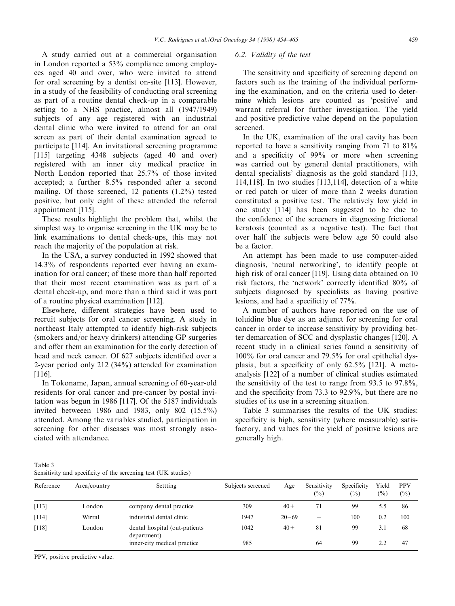A study carried out at a commercial organisation in London reported a 53% compliance among employees aged 40 and over, who were invited to attend for oral screening by a dentist on-site [113]. However, in a study of the feasibility of conducting oral screening as part of a routine dental check-up in a comparable setting to a NHS practice, almost all (1947/1949) subjects of any age registered with an industrial dental clinic who were invited to attend for an oral screen as part of their dental examination agreed to participate [114]. An invitational screening programme [115] targeting 4348 subjects (aged 40 and over) registered with an inner city medical practice in North London reported that 25.7% of those invited accepted; a further 8.5% responded after a second mailing. Of those screened, 12 patients (1.2%) tested positive, but only eight of these attended the referral appointment [115].

These results highlight the problem that, whilst the simplest way to organise screening in the UK may be to link examinations to dental check-ups, this may not reach the majority of the population at risk.

In the USA, a survey conducted in 1992 showed that 14.3% of respondents reported ever having an examination for oral cancer; of these more than half reported that their most recent examination was as part of a dental check-up, and more than a third said it was part of a routine physical examination [112].

Elsewhere, different strategies have been used to recruit subjects for oral cancer screening. A study in northeast Italy attempted to identify high-risk subjects (smokers and/or heavy drinkers) attending GP surgeries and offer them an examination for the early detection of head and neck cancer. Of 627 subjects identified over a 2-year period only 212 (34%) attended for examination [116].

In Tokoname, Japan, annual screening of 60-year-old residents for oral cancer and pre-cancer by postal invitation was begun in 1986 [117]. Of the 5187 individuals invited betweeen 1986 and 1983, only 802 (15.5%) attended. Among the variables studied, participation in screening for other diseases was most strongly associated with attendance.

# 6.2. Validity of the test

The sensitivity and specificity of screening depend on factors such as the training of the individual performing the examination, and on the criteria used to determine which lesions are counted as `positive' and warrant referral for further investigation. The yield and positive predictive value depend on the population screened.

In the UK, examination of the oral cavity has been reported to have a sensitivity ranging from 71 to 81% and a specificity of  $99\%$  or more when screening was carried out by general dental practitioners, with dental specialists' diagnosis as the gold standard [113, 114,118]. In two studies [113,114], detection of a white or red patch or ulcer of more than 2 weeks duration constituted a positive test. The relatively low yield in one study [114] has been suggested to be due to the confidence of the screeners in diagnosing frictional keratosis (counted as a negative test). The fact that over half the subjects were below age 50 could also be a factor.

An attempt has been made to use computer-aided diagnosis, `neural networking', to identify people at high risk of oral cancer [119]. Using data obtained on 10 risk factors, the 'network' correctly identified 80% of subjects diagnosed by specialists as having positive lesions, and had a specificity of 77%.

A number of authors have reported on the use of toluidine blue dye as an adjunct for screening for oral cancer in order to increase sensitivity by providing better demarcation of SCC and dysplastic changes [120]. A recent study in a clinical series found a sensitivity of 100% for oral cancer and 79.5% for oral epithelial dysplasia, but a specificity of only  $62.5\%$  [121]. A metaanalysis [122] of a number of clinical studies estimated the sensitivity of the test to range from 93.5 to 97.8%, and the specificity from 73.3 to  $92.9\%$ , but there are no studies of its use in a screening situation.

Table 3 summarises the results of the UK studies: specificity is high, sensitivity (where measurable) satisfactory, and values for the yield of positive lesions are generally high.

| Table 3                                                        |  |
|----------------------------------------------------------------|--|
| Sensitivity and specificity of the screening test (UK studies) |  |

| Reference | Area/country | Settting                                      | Subjects screened | Age       | Sensitivity<br>(%)       | Specificity<br>(%) | Yield<br>(0/0) | <b>PPV</b><br>(%) |
|-----------|--------------|-----------------------------------------------|-------------------|-----------|--------------------------|--------------------|----------------|-------------------|
| [113]     | London       | company dental practice                       | 309               | $40 +$    | 71                       | 99                 | 5.5            | 86                |
| [114]     | Wirral       | industrial dental clinic                      | 1947              | $20 - 69$ | $\overline{\phantom{0}}$ | 100                | 0.2            | 100               |
| [118]     | London       | dental hospital (out-patients)<br>department) | 1042              | $40 +$    | 81                       | 99                 | 3.1            | 68                |
|           |              | inner-city medical practice                   | 985               |           | 64                       | 99                 | 2.2            | 47                |

PPV, positive predictive value.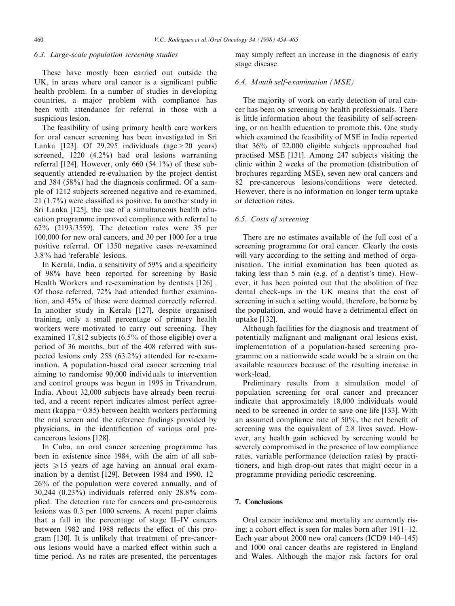## 6.3. Large-scale population screening studies

These have mostly been carried out outside the UK, in areas where oral cancer is a significant public health problem. In a number of studies in developing countries, a major problem with compliance has been with attendance for referral in those with a suspicious lesion.

The feasibility of using primary health care workers for oral cancer screening has been investigated in Sri Lanka [123]. Of 29,295 individuals (age  $>$  20 years) screened, 1220 (4.2%) had oral lesions warranting referral [124]. However, only  $660$  (54.1%) of these subsequently attended re-evaluation by the project dentist and  $384$  ( $58\%$ ) had the diagnosis confirmed. Of a sample of 1212 subjects screened negative and re-examined,  $21$  (1.7%) were classified as positive. In another study in Sri Lanka [125], the use of a simultaneous health education programme improved compliance with referral to 62% (2193/3559). The detection rates were 35 per 100,000 for new oral cancers, and 30 per 1000 for a true positive referral. Of 1350 negative cases re-examined 3.8% had `referable' lesions.

In Kerala, India, a sensitivity of  $59\%$  and a specificity of 98% have been reported for screening by Basic Health Workers and re-examination by dentists [126] . Of those referred, 72% had attended further examination, and 45% of these were deemed correctly referred. In another study in Kerala [127], despite organised training, only a small percentage of primary health workers were motivated to carry out screening. They examined 17,812 subjects (6.5% of those eligible) over a period of 36 months, but of the 408 referred with suspected lesions only 258 (63.2%) attended for re-examination. A population-based oral cancer screening trial aiming to randomise 90,000 individuals to intervention and control groups was begun in 1995 in Trivandrum, India. About 32,000 subjects have already been recruited, and a recent report indicates almost perfect agreement (kappa= $0.85$ ) between health workers performing the oral screen and the reference findings provided by physicians, in the identification of various oral precancerous lesions [128].

In Cuba, an oral cancer screening programme has been in existence since 1984, with the aim of all subjects  $\geq 15$  years of age having an annual oral examination by a dentist  $[129]$ . Between 1984 and 1990, 12– 26% of the population were covered annually, and of 30,244 (0.23%) individuals referred only 28.8% complied. The detection rate for cancers and pre-cancerous lesions was 0.3 per 1000 screens. A recent paper claims that a fall in the percentage of stage  $II$ -IV cancers between 1982 and 1988 reflects the effect of this program [130]. It is unlikely that treatment of pre-cancerous lesions would have a marked effect within such a time period. As no rates are presented, the percentages

may simply reflect an increase in the diagnosis of early stage disease.

## 6.4. Mouth self-examination (MSE)

The majority of work on early detection of oral cancer has been on screening by health professionals. There is little information about the feasibility of self-screening, or on health education to promote this. One study which examined the feasibility of MSE in India reported that 36% of 22,000 eligible subjects approached had practised MSE [131]. Among 247 subjects visiting the clinic within 2 weeks of the promotion (distribution of brochures regarding MSE), seven new oral cancers and 82 pre-cancerous lesions/conditions were detected. However, there is no information on longer term uptake or detection rates.

# 6.5. Costs of screening

There are no estimates available of the full cost of a screening programme for oral cancer. Clearly the costs will vary according to the setting and method of organisation. The initial examination has been quoted as taking less than 5 min (e.g. of a dentist's time). However, it has been pointed out that the abolition of free dental check-ups in the UK means that the cost of screening in such a setting would, therefore, be borne by the population, and would have a detrimental effect on uptake [132].

Although facilities for the diagnosis and treatment of potentially malignant and malignant oral lesions exist, implementation of a population-based screening programme on a nationwide scale would be a strain on the available resources because of the resulting increase in work-load.

Preliminary results from a simulation model of population screening for oral cancer and precancer indicate that approximately 18,000 individuals would need to be screened in order to save one life [133]. With an assumed compliance rate of  $50\%$ , the net benefit of screening was the equivalent of 2.8 lives saved. However, any health gain achieved by screening would be severely compromised in the presence of low compliance rates, variable performance (detection rates) by practitioners, and high drop-out rates that might occur in a programme providing periodic rescreening.

## 7. Conclusions

Oral cancer incidence and mortality are currently rising; a cohort effect is seen for males born after  $1911-12$ . Each year about  $2000$  new oral cancers (ICD9  $140-145$ ) and 1000 oral cancer deaths are registered in England and Wales. Although the major risk factors for oral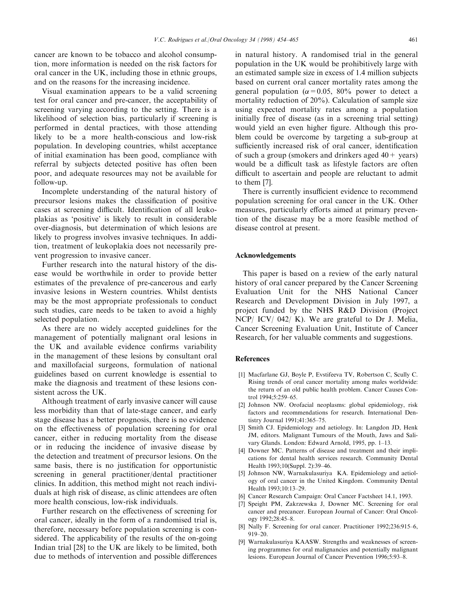cancer are known to be tobacco and alcohol consumption, more information is needed on the risk factors for oral cancer in the UK, including those in ethnic groups, and on the reasons for the increasing incidence.

Visual examination appears to be a valid screening test for oral cancer and pre-cancer, the acceptability of screening varying according to the setting. There is a likelihood of selection bias, particularly if screening is performed in dental practices, with those attending likely to be a more health-conscious and low-risk population. In developing countries, whilst acceptance of initial examination has been good, compliance with referral by subjects detected positive has often been poor, and adequate resources may not be available for follow-up.

Incomplete understanding of the natural history of precursor lesions makes the classification of positive cases at screening difficult. Identification of all leukoplakias as `positive' is likely to result in considerable over-diagnosis, but determination of which lesions are likely to progress involves invasive techniques. In addition, treatment of leukoplakia does not necessarily prevent progression to invasive cancer.

Further research into the natural history of the disease would be worthwhile in order to provide better estimates of the prevalence of pre-cancerous and early invasive lesions in Western countries. Whilst dentists may be the most appropriate professionals to conduct such studies, care needs to be taken to avoid a highly selected population.

As there are no widely accepted guidelines for the management of potentially malignant oral lesions in the UK and available evidence confirms variability in the management of these lesions by consultant oral and maxillofacial surgeons, formulation of national guidelines based on current knowledge is essential to make the diagnosis and treatment of these lesions consistent across the UK.

Although treatment of early invasive cancer will cause less morbidity than that of late-stage cancer, and early stage disease has a better prognosis, there is no evidence on the effectiveness of population screening for oral cancer, either in reducing mortality from the disease or in reducing the incidence of invasive disease by the detection and treatment of precursor lesions. On the same basis, there is no justification for opportunistic screening in general practitioner/dental practitioner clinics. In addition, this method might not reach individuals at high risk of disease, as clinic attendees are often more health conscious, low-risk individuals.

Further research on the effectiveness of screening for oral cancer, ideally in the form of a randomised trial is, therefore, necessary before population screening is considered. The applicability of the results of the on-going Indian trial [28] to the UK are likely to be limited, both due to methods of intervention and possible differences

in natural history. A randomised trial in the general population in the UK would be prohibitively large with an estimated sample size in excess of 1.4 million subjects based on current oral cancer mortality rates among the general population ( $\alpha$ =0.05, 80% power to detect a mortality reduction of 20%). Calculation of sample size using expected mortality rates among a population initially free of disease (as in a screening trial setting) would yield an even higher figure. Although this problem could be overcome by targeting a sub-group at sufficiently increased risk of oral cancer, identification of such a group (smokers and drinkers aged  $40+$  years) would be a difficult task as lifestyle factors are often difficult to ascertain and people are reluctant to admit to them [7].

There is currently insufficient evidence to recommend population screening for oral cancer in the UK. Other measures, particularly efforts aimed at primary prevention of the disease may be a more feasible method of disease control at present.

## Acknowledgements

This paper is based on a review of the early natural history of oral cancer prepared by the Cancer Screening Evaluation Unit for the NHS National Cancer Research and Development Division in July 1997, a project funded by the NHS R&D Division (Project NCP/ ICV/ 042/ K). We are grateful to Dr J. Melia, Cancer Screening Evaluation Unit, Institute of Cancer Research, for her valuable comments and suggestions.

#### References

- [1] Macfarlane GJ, Boyle P, Evstifeeva TV, Robertson C, Scully C. Rising trends of oral cancer mortality among males worldwide: the return of an old public health problem. Cancer Causes Control 1994;5:259-65.
- [2] Johnson NW. Orofacial neoplasms: global epidemiology, risk factors and recommendations for research. International Dentistry Journal 1991;41:365-75.
- [3] Smith CJ. Epidemiology and aetiology. In: Langdon JD, Henk JM, editors. Malignant Tumours of the Mouth, Jaws and Salivary Glands. London: Edward Arnold, 1995, pp. 1-13.
- [4] Downer MC. Patterns of disease and treatment and their implications for dental health services research. Community Dental Health 1993;10(Suppl. 2):39-46.
- [5] Johnson NW, Warnakulasuriya KA. Epidemiology and aetiology of oral cancer in the United Kingdom. Community Dental Health 1993:10:13-29.
- [6] Cancer Research Campaign: Oral Cancer Factsheet 14.1, 1993.
- [7] Speight PM, Zakrzewska J, Downer MC. Screening for oral cancer and precancer. European Journal of Cancer: Oral Oncology 1992;28:45-8.
- [8] Nally F. Screening for oral cancer. Practitioner 1992;236:915-6, 919±20.
- [9] Warnakulasuriya KAASW. Strengths and weaknesses of screening programmes for oral malignancies and potentially malignant lesions. European Journal of Cancer Prevention 1996;5:93-8.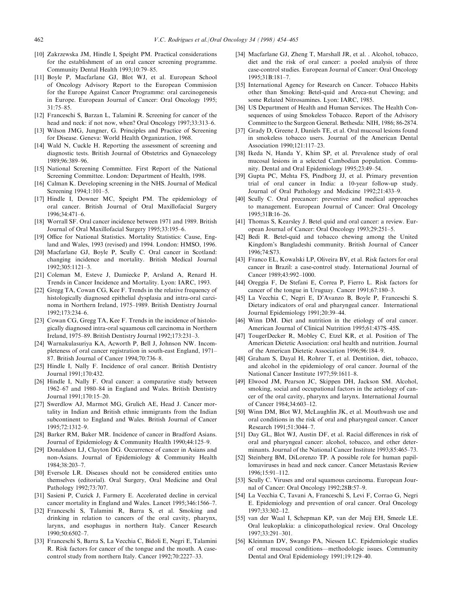- [10] Zakrzewska JM, Hindle I, Speight PM. Practical considerations for the establishment of an oral cancer screening programme. Community Dental Health 1993;10:79-85.
- [11] Boyle P, Macfarlane GJ, Blot WJ, et al. European School of Oncology Advisory Report to the European Commission for the Europe Against Cancer Programme: oral carcinogenesis in Europe. European Journal of Cancer: Oral Oncology 1995;  $31.75 - 85$
- [12] Franceschi S, Barzan L, Talamini R. Screening for cancer of the head and neck: if not now, when? Oral Oncology 1997;33:313-6.
- [13] Wilson JMG, Jungner, G. Principles and Practice of Screening for Disease. Geneva: World Health Organization, 1968.
- [14] Wald N, Cuckle H. Reporting the assessment of screening and diagnostic tests. British Journal of Obstetrics and Gynaecology 1989;96:389±96.
- [15] National Screening Committee. First Report of the National Screening Committee. London: Department of Health, 1998.
- [16] Calman K. Developing screening in the NHS. Journal of Medical Screening 1994;1:101-5.
- [17] Hindle I, Downer MC, Speight PM. The epidemiology of oral cancer. British Journal of Oral Maxillofacial Surgery 1996;34:471±6.
- [18] Worrall SF. Oral cancer incidence between 1971 and 1989. British Journal of Oral Maxillofacial Surgery 1995;33:195-6.
- [19] Office for National Statistics. Mortality Statistics: Cause, England and Wales, 1993 (revised) and 1994. London: HMSO, 1996.
- [20] Macfarlane GJ, Boyle P, Scully C. Oral cancer in Scotland: changing incidence and mortality. British Medical Journal  $1992:305:1121-3$
- [21] Coleman M, Esteve J, Damiecke P, Arsland A, Renard H. Trends in Cancer Incidence and Mortality. Lyon: IARC, 1993.
- [22] Gregg TA, Cowan CG, Kee F. Trends in the relative frequency of histologically diagnosed epithelial dysplasia and intra-oral carcinoma in Northern Ireland, 1975-1989. British Dentistry Journal 1992;173:234-6.
- [23] Cowan CG, Gregg TA, Kee F. Trends in the incidence of histologically diagnosed intra-oral squamous cell carcinoma in Northern Ireland, 1975 $-89$ . British Dentistry Journal 1992;173:231 $-3$ .
- [24] Warnakulasuriya KA, Acworth P, Bell J, Johnson NW. Incompleteness of oral cancer registration in south-east England, 1971– 87. British Journal of Cancer 1994:70:736-8.
- [25] Hindle I, Nally F. Incidence of oral cancer. British Dentistry Journal 1991;170:432.
- [26] Hindle I, Nally F. Oral cancer: a comparative study between 1962-67 and 1980-84 in England and Wales. British Dentistry Journal 1991:170:15-20.
- [27] Swerdlow AJ, Marmot MG, Grulich AE, Head J. Cancer mortality in Indian and British ethnic immigrants from the Indian subcontinent to England and Wales. British Journal of Cancer 1995;72:1312±9.
- [28] Barker RM, Baker MR. Incidence of cancer in Bradford Asians. Journal of Epidemiology & Community Health 1990;44:125-9.
- [29] Donaldson LJ, Clayton DG. Occurrence of cancer in Asians and non-Asians. Journal of Epidemiology & Community Health 1984;38:203±7.
- [30] Eversole LR. Diseases should not be considered entities unto themselves (editorial). Oral Surgery, Oral Medicine and Oral Pathology 1992;73:707.
- [31] Sasieni P, Cuzick J, Farmery E. Accelerated decline in cervical cancer mortality in England and Wales. Lancet 1995;346:1566-7.
- [32] Franceschi S, Talamini R, Barra S, et al. Smoking and drinking in relation to cancers of the oral cavity, pharynx, larynx, and esophagus in northern Italy. Cancer Research 1990;50:6502±7.
- [33] Franceschi S, Barra S, La Vecchia C, Bidoli E, Negri E, Talamini R. Risk factors for cancer of the tongue and the mouth. A casecontrol study from northern Italy. Cancer 1992;70:2227-33.
- [34] Macfarlane GJ, Zheng T, Marshall JR, et al. . Alcohol, tobacco, diet and the risk of oral cancer: a pooled analysis of three case-control studies. European Journal of Cancer: Oral Oncology 1995;31B:181±7.
- [35] International Agency for Research on Cancer. Tobacco Habits other than Smoking: Betel-quid and Areca-nut Chewing; and some Related Nitrosamines. Lyon: IARC, 1985.
- [36] US Department of Health and Human Services. The Health Consequences of using Smokeless Tobacco. Report of the Advisory Committee to the Surgeon General. Bethesda: NIH, 1986; 86-2874.
- [37] Grady D, Greene J, Daniels TE, et al. Oral mucosal lesions found in smokeless tobacco users. Journal of the American Dental Association 1990;121:117-23.
- [38] Ikeda N, Handa Y, Khim SP, et al. Prevalence study of oral mucosal lesions in a selected Cambodian population. Community. Dental and Oral Epidemiology 1995;23:49-54.
- [39] Gupta PC, Mehta FS, Pindborg JJ, et al. Primary prevention trial of oral cancer in India: a 10-year follow-up study. Journal of Oral Pathology and Medicine 1992;21:433-9.
- [40] Scully C. Oral precancer: preventive and medical approaches to management. European Journal of Cancer: Oral Oncology 1995;31B:16±26.
- [41] Thomas S, Kearsley J. Betel quid and oral cancer: a review. European Journal of Cancer: Oral Oncology 1993;29:251-5.
- [42] Bedi R. Betel-quid and tobacco chewing among the United Kingdom's Bangladeshi community. British Journal of Cancer 1996;74:S73.
- [43] Franco EL, Kowalski LP, Oliveira BV, et al. Risk factors for oral cancer in Brazil: a case-control study. International Journal of Cancer 1989;43:992-1000.
- [44] Oreggia F, De Stefani E, Correa P, Fierro L. Risk factors for cancer of the tongue in Uruguay. Cancer 1991;67:180-3.
- [45] La Vecchia C, Negri E, D'Avanzo B, Boyle P, Franceschi S. Dietary indicators of oral and pharyngeal cancer. International Journal Epidemiology 1991;20:39-44.
- [46] Winn DM. Diet and nutrition in the etiology of oral cancer. American Journal of Clinical Nutrition 1995;61:437S-45S.
- [47] TougerDecker R, Mobley C, Etzel KR, et al. Position of The American Dietetic Association: oral health and nutrition. Journal of the American Dietetic Association 1996;96:184-9.
- [48] Graham S, Dayal H, Rohrer T, et al. Dentition, diet, tobacco, and alcohol in the epidemiology of oral cancer. Journal of the National Cancer Institute 1977;59:1611-8.
- [49] Elwood JM, Pearson JC, Skippen DH, Jackson SM. Alcohol, smoking, social and occupational factors in the aetiology of cancer of the oral cavity, pharynx and larynx. International Journal of Cancer 1984;34:603-12.
- [50] Winn DM, Blot WJ, McLaughlin JK, et al. Mouthwash use and oral conditions in the risk of oral and pharyngeal cancer. Cancer Research 1991:51:3044-7.
- [51] Day GL, Blot WJ, Austin DF, et al. Racial differences in risk of oral and pharyngeal cancer: alcohol, tobacco, and other determinants. Journal of the National Cancer Institute 1993;85:465-73.
- [52] Steinberg BM, DiLorenzo TP. A possible role for human papillomaviruses in head and neck cancer. Cancer Metastasis Review 1996;15:91±112.
- [53] Scully C. Viruses and oral squamous carcinoma. European Journal of Cancer: Oral Oncology 1992;28B:57-9.
- [54] La Vecchia C, Tavani A, Franceschi S, Levi F, Corrao G, Negri E. Epidemiology and prevention of oral cancer. Oral Oncology 1997;33:302±12.
- [55] van der Waal I, Schepman KP, van der Meij EH, Smeele LE. Oral leukoplakia: a clinicopathological review. Oral Oncology 1997;33:291±301.
- [56] Kleinman DV, Swango PA, Niessen LC. Epidemiologic studies of oral mucosal conditions—methodologic issues. Community Dental and Oral Epidemiology 1991;19:129-40.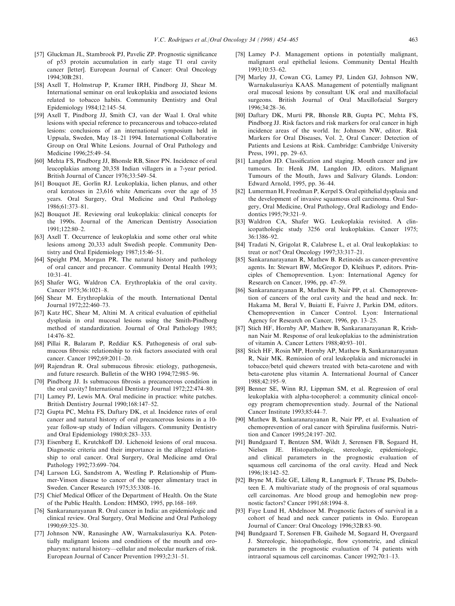- [57] Gluckman JL, Stambrook PJ, Pavelic ZP. Prognostic significance of p53 protein accumulation in early stage T1 oral cavity cancer [letter]. European Journal of Cancer: Oral Oncology 1994;30B:281.
- [58] Axell T, Holmstrup P, Kramer IRH, Pindborg JJ, Shear M. International seminar on oral leukoplakia and associated lesions related to tobacco habits. Community Dentistry and Oral Epidemiology 1984;12:145-54.
- [59] Axell T, Pindborg JJ, Smith CJ, van der Waal I. Oral white lesions with special reference to precancerous and tobacco-related lesions: conclusions of an international symposium held in Uppsala, Sweden, May 18-21 1994. International Collaborative Group on Oral White Lesions. Journal of Oral Pathology and Medicine 1996:25:49-54.
- [60] Mehta FS, Pindborg JJ, Bhonsle RB, Sinor PN. Incidence of oral leucoplakias among 20,358 Indian villagers in a 7-year period. British Journal of Cancer 1976:33:549-54.
- [61] Bouquot JE, Gorlin RJ. Leukoplakia, lichen planus, and other oral keratoses in 23,616 white Americans over the age of 35 years. Oral Surgery, Oral Medicine and Oral Pathology 1986;61:373±81.
- [62] Bouquot JE. Reviewing oral leukoplakia: clinical concepts for the 1990s. Journal of the American Dentistry Association  $1991:122:80-2.$
- [63] Axell T. Occurrence of leukoplakia and some other oral white lesions among 20,333 adult Swedish people. Community Dentistry and Oral Epidemiology 1987;15:46-51.
- [64] Speight PM, Morgan PR. The natural history and pathology of oral cancer and precancer. Community Dental Health 1993; 10:31±41.
- [65] Shafer WG, Waldron CA. Erythroplakia of the oral cavity. Cancer 1975;36:1021-8.
- [66] Shear M. Erythroplakia of the mouth. International Dental Journal 1972;22:460-73.
- [67] Katz HC, Shear M, Altini M. A critical evaluation of epithelial dysplasia in oral mucosal lesions using the Smith-Pindborg method of standardization. Journal of Oral Pathology 1985; 14:476±82.
- [68] Pillai R, Balaram P, Reddiar KS. Pathogenesis of oral submucous fibrosis: relationship to risk factors associated with oral cancer. Cancer 1992:69:2011-20.
- [69] Rajendran R. Oral submucous fibrosis: etiology, pathogenesis, and future research. Bulletin of the WHO 1994;72:985-96.
- [70] Pindborg JJ. Is submucous fibrosis a precancerous condition in the oral cavity? International Dentistry Journal 1972;22:474-80.
- [71] Lamey PJ, Lewis MA. Oral medicine in practice: white patches. British Dentistry Journal 1990;168:147-52.
- [72] Gupta PC, Mehta FS, Daftary DK, et al. Incidence rates of oral cancer and natural history of oral precancerous lesions in a 10 year follow-up study of Indian villagers. Community Dentistry and Oral Epidemiology 1980;8:283-333.
- [73] Eisenberg E, Krutchkoff DJ. Lichenoid lesions of oral mucosa. Diagnostic criteria and their importance in the alleged relationship to oral cancer. Oral Surgery, Oral Medicine amd Oral Pathology 1992;73:699-704.
- [74] Larsson LG, Sandstrom A, Westling P. Relationship of Plummer-Vinson disease to cancer of the upper alimentary tract in Sweden. Cancer Research 1975;35:3308-16.
- [75] Chief Medical Officer of the Department of Health. On the State of the Public Health. London: HMSO, 1995, pp.168-169.
- [76] Sankaranarayanan R. Oral cancer in India: an epidemiologic and clinical review. Oral Surgery, Oral Medicine and Oral Pathology 1990;69:325±30.
- [77] Johnson NW, Ranasinghe AW, Warnakulasuriya KA. Potentially malignant lesions and conditions of the mouth and oropharynx: natural history—cellular and molecular markers of risk. European Journal of Cancer Prevention 1993;2:31-51.
- [78] Lamey P-J. Management options in potentially malignant, malignant oral epithelial lesions. Community Dental Health 1993;10:53±62.
- [79] Marley JJ, Cowan CG, Lamey PJ, Linden GJ, Johnson NW, Warnakulasuriya KAAS. Management of potentially malignant oral mucosal lesions by consultant UK oral and maxillofacial surgeons. British Journal of Oral Maxillofacial Surgery  $1996.34.28 - 36$
- [80] Daftary DK, Murti PR, Bhonsle RB, Gupta PC, Mehta FS, Pindborg JJ. Risk factors and risk markers for oral cancer in high incidence areas of the world. In: Johnson NW, editor. Risk Markers for Oral Diseases, Vol. 2, Oral Cancer: Detection of Patients and Lesions at Risk. Cambridge: Cambridge University Press, 1991, pp. 29-63.
- [81] Langdon JD. Classification and staging. Mouth cancer and jaw tumours. In: Henk JM, Langdon JD, editors. Malignant Tumours of the Mouth, Jaws and Salivary Glands. London: Edward Arnold, 1995, pp. 36-44.
- [82] Lumerman H, Freedman P, Kerpel S. Oral epithelial dysplasia and the development of invasive squamous cell carcinoma. Oral Surgery, Oral Medicine, Oral Pathology, Oral Radiology and Endodontics 1995;79:321-9.
- [83] Waldron CA, Shafer WG. Leukoplakia revisited. A clinicopathologic study 3256 oral leukoplakias. Cancer 1975;  $36.1386 - 92$
- [84] Tradati N, Grigolat R, Calabrese L, et al. Oral leukoplakias: to treat or not? Oral Oncology  $1997;33:317-21$ .
- [85] Sankaranarayanan R, Mathew B. Retinoids as cancer-preventive agents. In: Stewart BW, McGregor D, Kleihues P, editors. Principles of Chemoprevention. Lyon: International Agency for Research on Cancer, 1996, pp. 47-59.
- [86] Sankaranarayanan R, Mathew B, Nair PP, et al. Chemoprevention of cancers of the oral cavity and the head and neck. In: Hakama M, Beral V, Buiatti E, Faivre J, Parkin DM, editors. Chemoprevention in Cancer Control. Lyon: International Agency for Research on Cancer, 1996, pp. 13-25.
- [87] Stich HF, Hornby AP, Mathew B, Sankaranarayanan R, Krishnan Nair M. Response of oral leukoplakias to the administration of vitamin A. Cancer Letters 1988;40:93-101.
- [88] Stich HF, Rosin MP, Hornby AP, Mathew B, Sankaranarayanan R, Nair MK. Remission of oral leukoplakia and micronuclei in tobacco/betel quid chewers treated with beta-carotene and with beta-carotene plus vitamin A. International Journal of Cancer 1988;42:195±9.
- [89] Benner SE, Winn RJ, Lippman SM, et al. Regression of oral leukoplakia with alpha-tocopherol: a community clinical oncology program chemoprevention study. Journal of the National Cancer Institute 1993;85:44-7.
- [90] Mathew B, Sankaranarayanan R, Nair PP, et al. Evaluation of chemoprevention of oral cancer with Spirulina fusiformis. Nutrition and Cancer 1995;24:197-202.
- [91] Bundgaard T, Bentzen SM, Wildt J, Serensen FB, Sogaard H, Nielsen JE. Histopathologic, stereologic, epidemiologic, and clinical parameters in the prognostic evaluation of squamous cell carcinoma of the oral cavity. Head and Neck 1996;18:142-52.
- [92] Bryne M, Eide GE, Lilleng R, Langmark F, Thrane PS, Dabelsteen E. A multivariate study of the prognosis of oral squamous cell carcinomas. Are blood group and hemoglobin new prognostic factors? Cancer 1991;68:1994-8.
- [93] Faye Lund H, Abdelnoor M. Prognostic factors of survival in a cohort of head and neck cancer patients in Oslo. European Journal of Cancer: Oral Oncology 1996;32B:83-90.
- [94] Bundgaard T, Sorensen FB, Gaihede M, Sogaard H, Overgaard J. Stereologic, histopathologic, flow cytometric, and clinical parameters in the prognostic evaluation of 74 patients with intraoral squamous cell carcinomas. Cancer 1992;70:1-13.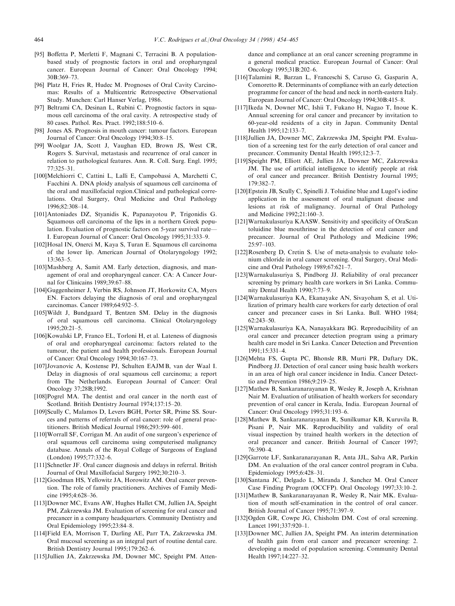- [95] Boffetta P, Merletti F, Magnani C, Terracini B. A populationbased study of prognostic factors in oral and oropharyngeal cancer. European Journal of Cancer: Oral Oncology 1994; 30B:369±73.
- [96] Platz H, Fries R, Hudec M. Prognoses of Oral Cavity Carcinomas: Results of a Multicentric Retrospective Observational Study. Munchen: Carl Hanser Verlag, 1986.
- [97] Beltrami CA, Desinan L, Rubini C. Prognostic factors in squamous cell carcinoma of the oral cavity. A retrospective study of 80 cases. Pathol. Res. Pract. 1992;188:510-6.
- [98] Jones AS. Prognosis in mouth cancer: tumour factors. European Journal of Cancer: Oral Oncology 1994;30:8-15.
- [99] Woolgar JA, Scott J, Vaughan ED, Brown JS, West CR, Rogers S. Survival, metastasis and recurrence of oral cancer in relation to pathological features. Ann. R. Coll. Surg. Engl. 1995;  $77.325 - 31$
- [100]Melchiorri C, Cattini L, Lalli E, Campobassi A, Marchetti C, Facchini A. DNA ploidy analysis of squamous cell carcinoma of the oral and maxillofacial region.Clinical and pathological correlations. Oral Surgery, Oral Medicine and Oral Pathology 1996;82:308±14.
- [101]Antoniades DZ, Styanidis K, Papanayotou P, Trigonidis G. Squamous cell carcinoma of the lips in a northern Greek population. Evaluation of prognostic factors on 5-year survival rate— I. European Journal of Cancer: Oral Oncology 1995;31:333-9.
- [102]Hosal IN, Onerci M, Kaya S, Turan E. Squamous cll carcinoma of the lower lip. American Journal of Otolaryngology 1992;  $13.363 - 5$ .
- [103]Mashberg A, Samit AM. Early detection, diagnosis, and management of oral and oropharyngeal cancer. CA: A Cancer Journal for Clinicains 1989;39:67-88.
- [104]Guggenheimer J, Verbin RS, Johnson JT, Horkowitz CA, Myers EN. Factors delaying the diagnosis of oral and oropharyngeal carcinomas. Cancer 1989;64:932-5.
- [105]Wildt J, Bundgaard T, Bentzen SM. Delay in the diagnosis of oral squamous cell carcinoma. Clinical Otolaryngology 1995;20:21±5.
- [106]Kowalski LP, Franco EL, Torloni H, et al. Lateness of diagnosis of oral and oropharyngeal carcinoma: factors related to the tumour, the patient and health professionals. European Journal of Cancer: Oral Oncology 1994;30:167-73.
- [107]Jovanovic A, Kostense PJ, Schulten EAJMB, van der Waal I. Delay in diagnosis of oral squamous cell carcinoma; a report from The Netherlands. European Journal of Cancer: Oral Oncology 37;28B;1992.
- [108]Pogrel MA. The dentist and oral cancer in the north east of Scotland. British Dentistry Journal 1974;137:15-20.
- [109]Scully C, Malamos D, Levers BGH, Porter SR, Prime SS. Sources and patterns of referrals of oral cancer: role of general practitioners. British Medical Journal 1986;293:599-601.
- [110]Worrall SF, Corrigan M. An audit of one surgeon's experience of oral squamous cell carcinoma using computerised malignancy database. Annals of the Royal College of Surgeons of England (London) 1995;77:332-6.
- [111]Schnetler JF. Oral cancer diagnosis and delays in referral. British Journal of Oral Maxillofacial Surgery 1992;30:210-3.
- [112]Goodman HS, Yellowitz JA, Horowitz AM. Oral cancer prevention. The role of family practitioners. Archives of Family Medicine 1995;4:628-36.
- [113]Downer MC, Evans AW, Hughes Hallet CM, Jullien JA, Speight PM, Zakrzewska JM. Evaluation of screening for oral cancer and precancer in a company headquarters. Community Dentistry and Oral Epidemiology 1995;23:84-8.
- [114]Field EA, Morrison T, Darling AE, Parr TA, Zakrzewska JM. Oral mucosal screening as an integral part of routine dental care. British Dentistry Journal 1995;179:262-6.
- [115]Jullien JA, Zakrzewska JM, Downer MC, Speight PM. Atten-

dance and compliance at an oral cancer screening programme in a general medical practice. European Journal of Cancer: Oral Oncology 1995;31B:202-6.

- [116]Talamini R, Barzan L, Franceschi S, Caruso G, Gasparin A, Comoretto R. Determinants of compliance with an early detection programme for cancer of the head and neck in north-eastern Italy. European Journal of Cancer: Oral Oncology 1994;30B:415-8.
- [117]Ikeda N, Downer MC, Ishii T, Fukano H, Nagao T, Inoue K. Annual screening for oral cancer and precancer by invitation to 60-year-old residents of a city in Japan. Community Dental Health 1995;12:133-7.
- [118]Jullien JA, Downer MC, Zakrzewska JM, Speight PM. Evaluation of a screening test for the early detection of oral cancer and precancer. Community Dental Health 1995;12:3-7.
- [119]Speight PM, Elliott AE, Jullien JA, Downer MC, Zakzrewska JM. The use of artificial intelligence to identify people at risk of oral cancer and precancer. British Dentistry Journal 1995;  $179.382 - 7$
- [120]Epstein JB, Scully C, Spinelli J. Toluidine blue and Lugol's iodine application in the assessment of oral malignant disease and lesions at risk of malignancy. Journal of Oral Pathology and Medicine 1992;21:160-3.
- [121]Warnakulasuriya KAASW. Sensitivity and specificity of OraScan toluidine blue mouthrinse in the detection of oral cancer and precancer. Journal of Oral Pathology and Medicine 1996; 25:97±103.
- [122]Rosenberg D, Cretin S. Use of meta-analysis to evaluate tolonium chloride in oral cancer screening. Oral Surgery, Oral Medicine and Oral Pathology 1989;67:621-7.
- [123]Warnakulasuriya S, Pindborg JJ. Reliability of oral precancer screening by primary health care workers in Sri Lanka. Community Dental Health 1990;7:73-9.
- [124]Warnakulasuriya KA, Ekanayake AN, Sivayoham S, et al. Utilization of primary health care workers for early detection of oral cancer and precancer cases in Sri Lanka. Bull. WHO 1984; 62:243±50.
- [125]Warnakulasuriya KA, Nanayakkara BG. Reproducibility of an oral cancer and precancer detection program using a primary health care model in Sri Lanka. Cancer Detection and Prevention 1991;15:331±4.
- [126]Mehta FS, Gupta PC, Bhonsle RB, Murti PR, Daftary DK, Pindborg JJ. Detection of oral cancer using basic health workers in an area of high oral cancer incidence in India. Cancer Detecttio and Prevention  $1986;9:219-25$ .
- [127]Mathew B, Sankaranarayanan R, Wesley R, Joseph A, Krishnan Nair M. Evaluation of utilisation of health workers for secondary prevention of oral cancer in Kerala, India. European Journal of Cancer: Oral Oncology 1995;31:193-6.
- [128]Mathew B, Sankaranarayanan R, Sunilkumar KB, Kuruvila B, Pisani P, Nair MK. Reproducibility and validity of oral visual inspection by trained health workers in the detection of oral precancer and cancer. British Journal of Cancer 1997; 76:390±4.
- [129]Garrote LF, Sankaranarayanan R, Anta JJL, Salva AR, Parkin DM. An evaluation of the oral cancer control program in Cuba. Epidemiology 1995;6:428-31.
- [130]Santana JC, Delgado L, Miranda J, Sanchez M. Oral Cancer Case Finding Program (OCCFP). Oral Oncology 1997;33:10-2.
- [131]Mathew B, Sankaranarayanan R, Wesley R, Nair MK, Evaluation of mouth self-examination in the control of oral cancer. British Journal of Cancer 1995;71:397-9.
- [132]Ogden GR, Cowpe JG, Chisholm DM. Cost of oral screening. Lancet 1991:337:920-1.
- [133]Downer MC, Jullien JA, Speight PM. An interim determination of health gain from oral cancer and precancer screening: 2. developing a model of population screening. Community Dental Health 1997;14:227-32.